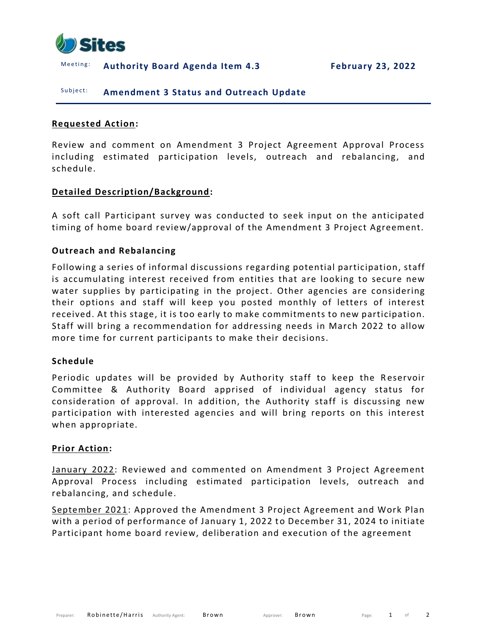

Meeting: Authority Board Agenda Item 4.3 February 23, 2022

## Subject: **Amendment 3 Status and Outreach Update**

#### **Requested Action:**

Review and comment on Amendment 3 Project Agreement Approval Process including estimated participation levels, outreach and rebalancing, and schedule.

### **Detailed Description/Background:**

A soft call Participant survey was conducted to seek input on the anticipated timing of home board review/approval of the Amendment 3 Project Agreement.

### **Outreach and Rebalancing**

Following a series of informal discussions regarding potential participation, staff is accumulating interest received from entities that are looking to secure new water supplies by participating in the project. Other agencies are considering their options and staff will keep you posted monthly of letters of interest received. At this stage, it is too early to make commitments to new participation. Staff will bring a recommendation for addressing needs in March 2022 to allow more time for current participants to make their decisions.

#### **Schedule**

Periodic updates will be provided by Authority staff to keep the Reservoir Committee & Authority Board apprised of individual agency status for consideration of approval. In addition, the Authority staff is discussing new participation with interested agencies and will bring reports on this interest when appropriate.

#### **Prior Action:**

January 2022: Reviewed and commented on Amendment 3 Project Agreement Approval Process including estimated participation levels, outreach and rebalancing, and schedule.

September 2021: Approved the Amendment 3 Project Agreement and Work Plan with a period of performance of January 1, 2022 t o December 31, 2024 to initiate Participant home board review, deliberation and execution of the agreement